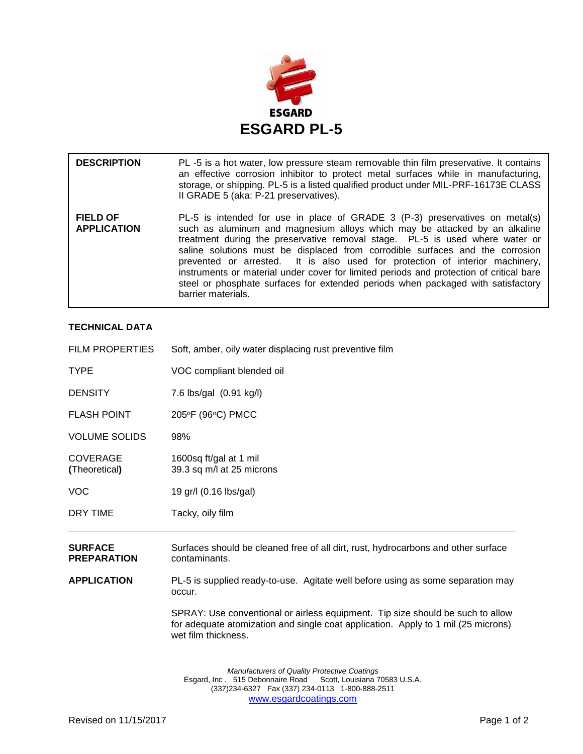

| <b>DESCRIPTION</b>                    | PL-5 is a hot water, low pressure steam removable thin film preservative. It contains<br>an effective corrosion inhibitor to protect metal surfaces while in manufacturing,<br>storage, or shipping. PL-5 is a listed qualified product under MIL-PRF-16173E CLASS<br>II GRADE 5 (aka: P-21 preservatives).                                                                                                                                                                                                                                                                                                      |
|---------------------------------------|------------------------------------------------------------------------------------------------------------------------------------------------------------------------------------------------------------------------------------------------------------------------------------------------------------------------------------------------------------------------------------------------------------------------------------------------------------------------------------------------------------------------------------------------------------------------------------------------------------------|
| <b>FIELD OF</b><br><b>APPLICATION</b> | PL-5 is intended for use in place of GRADE 3 (P-3) preservatives on metal(s)<br>such as aluminum and magnesium alloys which may be attacked by an alkaline<br>treatment during the preservative removal stage. PL-5 is used where water or<br>saline solutions must be displaced from corrodible surfaces and the corrosion<br>prevented or arrested. It is also used for protection of interior machinery,<br>instruments or material under cover for limited periods and protection of critical bare<br>steel or phosphate surfaces for extended periods when packaged with satisfactory<br>barrier materials. |

## **TECHNICAL DATA**

| <b>FILM PROPERTIES</b>               | Soft, amber, oily water displacing rust preventive film                                            |
|--------------------------------------|----------------------------------------------------------------------------------------------------|
| <b>TYPE</b>                          | VOC compliant blended oil                                                                          |
| <b>DENSITY</b>                       | 7.6 lbs/gal (0.91 kg/l)                                                                            |
| <b>FLASH POINT</b>                   | 205°F (96°C) PMCC                                                                                  |
| <b>VOLUME SOLIDS</b>                 | 98%                                                                                                |
| <b>COVERAGE</b><br>(Theoretical)     | 1600sq ft/gal at 1 mil<br>39.3 sq m/l at 25 microns                                                |
| <b>VOC</b>                           | 19 gr/l (0.16 lbs/gal)                                                                             |
| DRY TIME                             | Tacky, oily film                                                                                   |
| <b>SURFACE</b><br><b>PREPARATION</b> | Surfaces should be cleaned free of all dirt, rust, hydrocarbons and other surface<br>contaminants. |
| <b>APPLICATION</b>                   | PL-5 is supplied ready-to-use. Agitate well before using as some separation may<br>occur.          |

SPRAY: Use conventional or airless equipment. Tip size should be such to allow for adequate atomization and single coat application. Apply to 1 mil (25 microns) wet film thickness.

*Manufacturers of Quality Protective Coatings* Esgard, Inc . 515 Debonnaire Road Scott, Louisiana 70583 U.S.A. (337)234-6327 Fax (337) 234-0113 1-800-888-2511 [www.esgardcoatings.com](mailto:esgardUSA@worldnet.att.net)